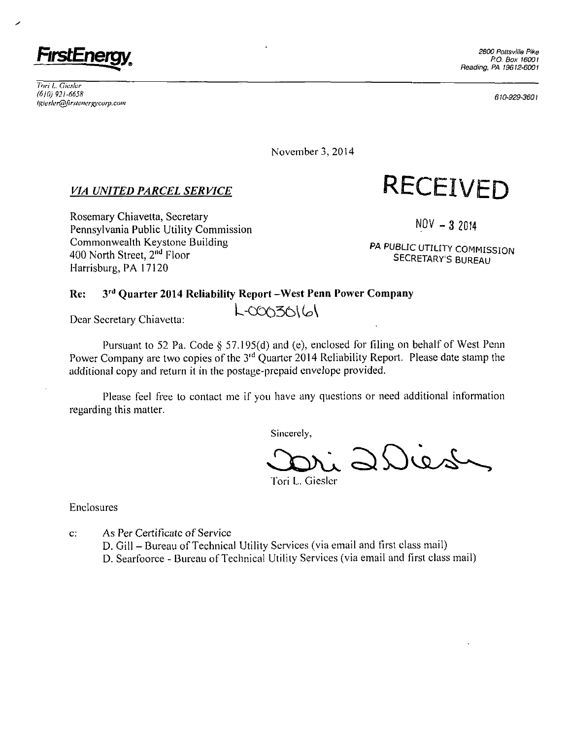

*Tori L. Gic.sler (610) 921-6658 lgiesler@firstenergycorp.com* 

610-929-360}

November 3, 2014

### *VIA UNITED PARCEL SERVICE*

Rosemary Chiavetta, Secretary Pennsylvania Public Utility Commission Commonwealth Keystone Building 400 North Street, 2<sup>nd</sup> Floor Harrisburg, PA 17120

 $NOV - 32014$ 

**RECEIVED** 

PA PUBLIC UTILITY COMMISSION SECRETARY'S BUREAU

### **Re: 3^ Quarter 2014 Reliability Report -West Penn Power Company**

Dear Secretary Chiavetta:

Pursuant to 52 Pa. Code § 57.195(d) and (e), enclosed for filing on behalf of West Penn Power Company are two copies of the 3<sup>rd</sup> Quarter 2014 Reliability Report. Please date stamp the additional copy and return it in the postage-prepaid envelope provided.

L-00030161

Please feel free lo contact me if you have any questions or need additional information regarding this matter.

Sincerely,

 $2001$ 

Tori L. Giesler

Enclosures

c: As Per Certificate of Service

D. Gill - Bureau of Technical Utility Services (via email and first class mail) D. Searfoorce - Bureau of Technical Utility Services (via email and first class mail)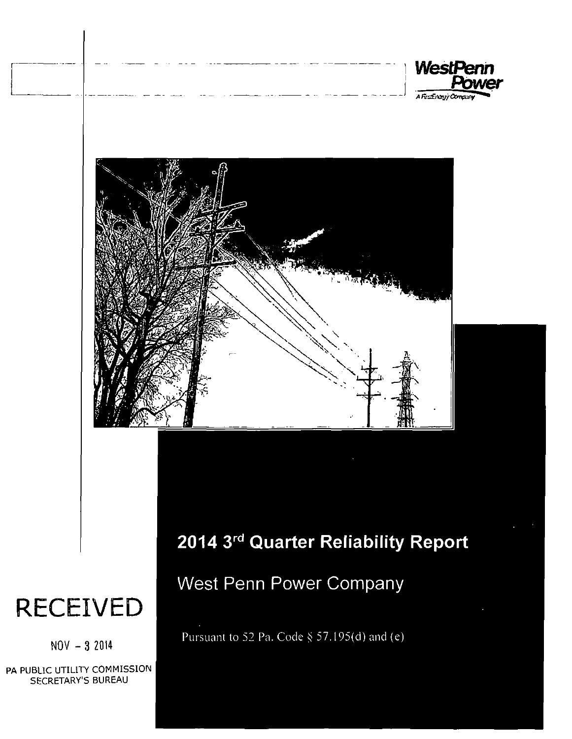



## **2014 3<sup>r</sup> <sup>d</sup> Quarter Reliability Report**

## West Penn Power Company

Pursuant to 52 Pa. Code § 57.195(d) and (e)

# **RECEIVED**

 $NOV - 32014$ 

PA PUBLIC UTILITY COMMISSION SECRETARY'S BUREAU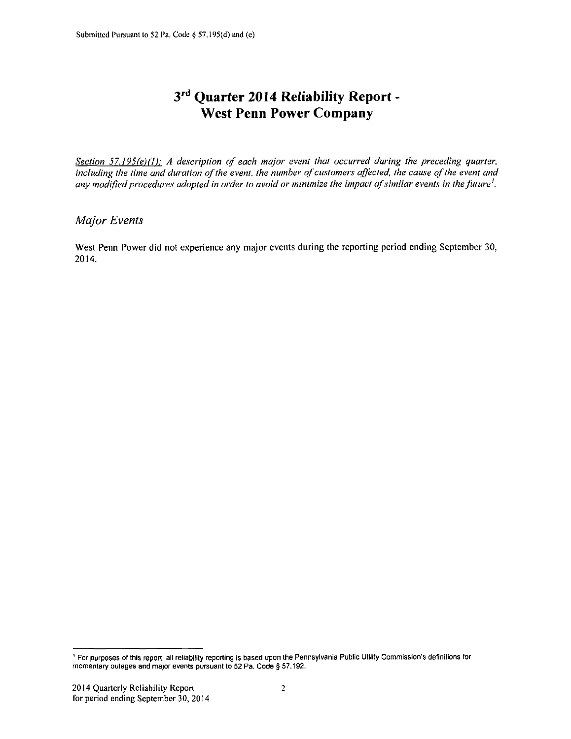## **3 r d Quarter 2014 Reliability Report - West Penn Power Company**

*Section 57.195(e)(1): A description of each major event that occurred during the preceding quarter, including the time and duration of the event, the number of customers affected, the cause of the event and any modified procedures adopted in order to avoid or minimize the impact of similar events in the future'.* 

### *Major Events*

West Penn Power did not experience any major events during the reporting period ending September 30. 2014.

<sup>&#</sup>x27; For purposes of this report, all reliability reporting is based upon the Pennsylvania Public Utility Commission's definitions for momentary outages and major events pursuant to 52 Pa. Code § 57.192.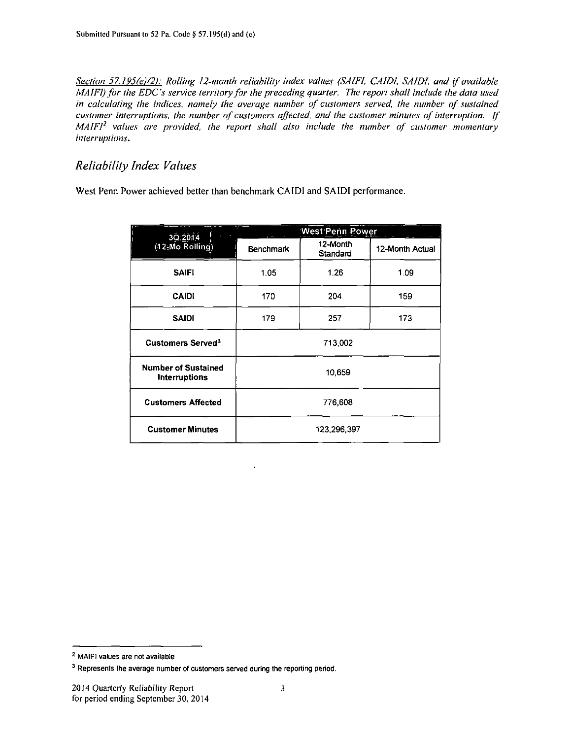*Section 57.195fe)(2): Rolling 12-month reliability index values (SAIFI, CAIDI, SAIDI, and if available MA IFI) for the EDC's service territory for the preceding quarter. The report shall include the data used in calculating the indices, namely the average number of customers served, the number of sustained customer interruptions, the number of customers affected, and the customer minutes of interruption. If MAIFI<sup>2</sup> values are provided, the report shall also include the number of customer momentary interruptions.* 

### *Reliability Index Values*

West Penn Power achieved better than benchmark CAIDI and SAIDI performance.

| 3Q.2014                                            |                  | West Penn Power      |                 |  |  |  |
|----------------------------------------------------|------------------|----------------------|-----------------|--|--|--|
| (12-Mo Rolling)                                    | <b>Benchmark</b> | 12-Month<br>Standard | 12-Month Actual |  |  |  |
| <b>SAIFI</b>                                       | 1.05             | 1.26                 | 1.09            |  |  |  |
| <b>CAIDI</b>                                       | 170              | 204                  | 159             |  |  |  |
| <b>SAIDI</b>                                       | 179              | 257                  | 173             |  |  |  |
| Customers Served <sup>3</sup>                      | 713,002          |                      |                 |  |  |  |
| <b>Number of Sustained</b><br><b>Interruptions</b> | 10,659           |                      |                 |  |  |  |
| <b>Customers Affected</b>                          | 776,608          |                      |                 |  |  |  |
| <b>Customer Minutes</b>                            |                  | 123,296.397          |                 |  |  |  |

<sup>2</sup> MAIFI values are not available

<sup>&</sup>lt;sup>3</sup> Represents the average number of customers served during the reporting period.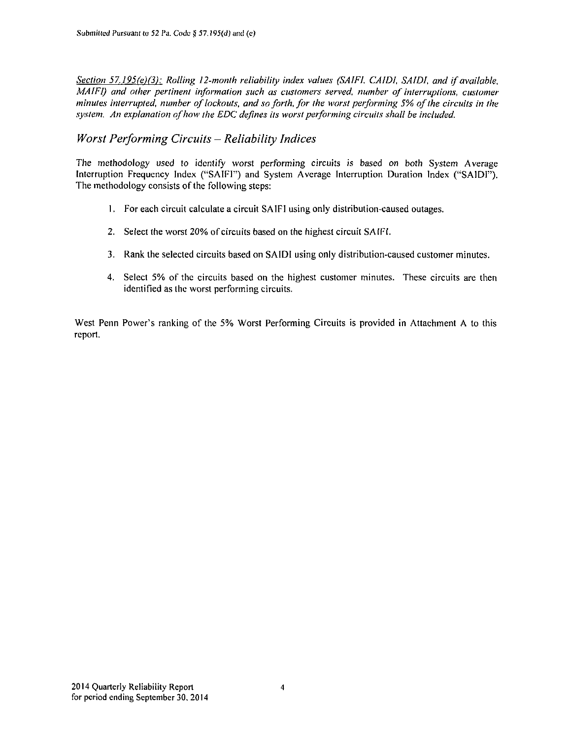*Section 57.195(e)(3): Rolling 12-month reliability index values (SAIFI. CAIDI. SAIDI. and if available, MAIFI)* and other pertinent information such as customers served, number of interruptions, customer *minutes interrupted, number of lockouts, and so forth, for the worst performing 5% of the circuits in the system, An explanation of how the EDC defines its worst performing circuits shall be included.* 

### *Worst Performing Circuits - Reliability Indices*

The methodology used to identify worst performing circuits is based on both System Average Interruption Frequency Index ("SAIFI") and System Average Interruption Duration Index ("SAIDI"). The methodology consists of the following steps:

- 1. For each circuit calculate a circuit SAIFI using only distribution-caused outages.
- 2. Select the worst 20% of circuits based on the highest circuit SAtFt.
- 3. Rank the selected circuits based on SAIDI using only distribution-caused customer minutes.
- 4. Select 5% of the circuits based on the highest customer minutes. These circuits are then identified as the worst performing circuits.

West Penn Power's ranking of the 5% Worst Performing Circuits is provided in Attachment A to this report.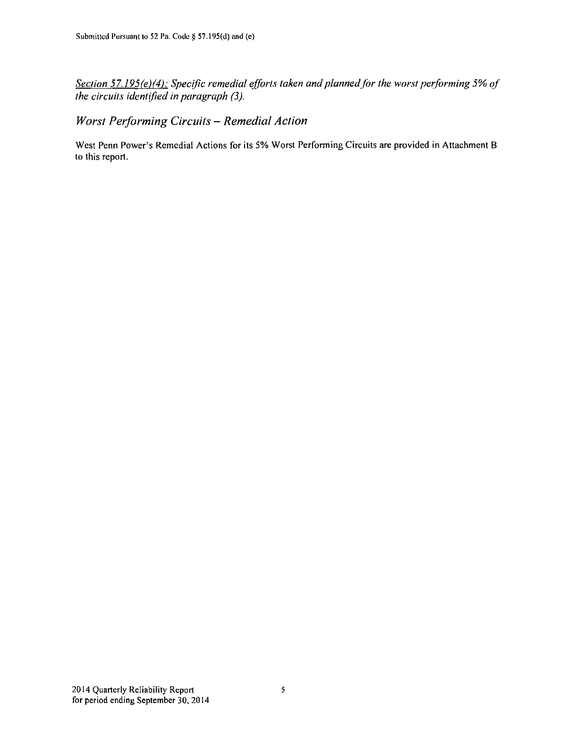*Section 57.195(e)(4): Specific remedial efforts taken and plannedfor the worst performing 5% of the circuits identified in paragraph (3).* 

*Worst Performing Circuits - Remedial Action* 

West Penn Power's Remedial Actions for its 5% Worst Performing Circuits are provided in Attachment B to this report.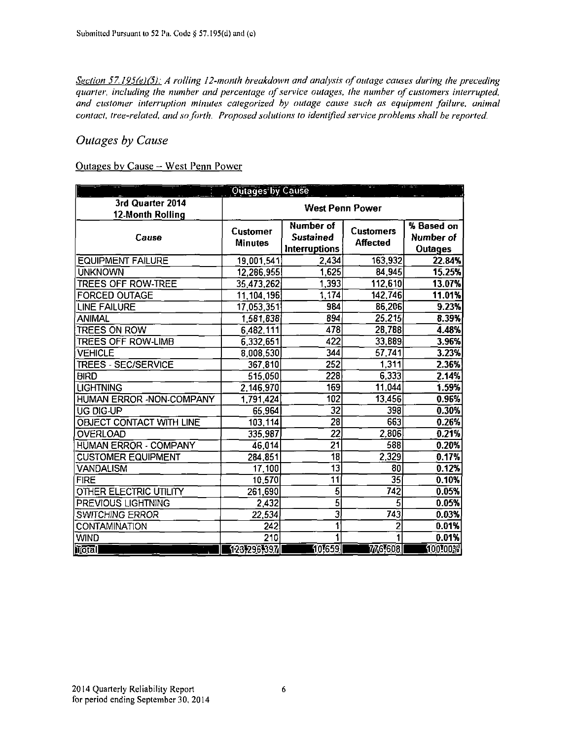*Section 57,195(e)(5): A rolling 12-month breakdown and analysis of outage causes during the preceding quarter, including the number and percentage of service outages, the number of customers interrupted, and customer interruption minutes categorized by outage cause such as equipment failure, animal contact, tree-related, and so forth. Proposed solutions to identified service problems shall be reported.* 

### *Outages by Cause*

#### Outages by Cause - West Penn Power

| г                                    | <b>Outages by Cause</b>    |                                                       |                                     |                                           |  |  |  |  |  |  |
|--------------------------------------|----------------------------|-------------------------------------------------------|-------------------------------------|-------------------------------------------|--|--|--|--|--|--|
| 3rd Quarter 2014<br>12-Month Rolling |                            | <b>West Penn Power</b>                                |                                     |                                           |  |  |  |  |  |  |
| Cause                                | Customer<br><b>Minutes</b> | Number of<br><b>Sustained</b><br><b>Interruptions</b> | <b>Customers</b><br><b>Affected</b> | % Based on<br>Number of<br><b>Outages</b> |  |  |  |  |  |  |
| <b>EQUIPMENT FAILURE</b>             | 19,001,541                 | 2,434                                                 | 163,932                             | 22.84%                                    |  |  |  |  |  |  |
| <b>UNKNOWN</b>                       | 12,286,955                 | 1,625                                                 | 84,945                              | 15.25%                                    |  |  |  |  |  |  |
| <b>TREES OFF ROW-TREE</b>            | 35,473,262                 | 1,393                                                 | 112,610                             | 13.07%                                    |  |  |  |  |  |  |
| <b>FORCED OUTAGE</b>                 | 11,104,196                 | 1,174                                                 | 142,746                             | 11.01%                                    |  |  |  |  |  |  |
| <b>LINE FAILURE</b>                  | 17,053,351                 | 984                                                   | 86,206                              | 9.23%                                     |  |  |  |  |  |  |
| ANIMAL                               | 1,581,838                  | 894                                                   | 25,215                              | 8.39%                                     |  |  |  |  |  |  |
| <b>TREES ON ROW</b>                  | 6,482,111                  | 478                                                   | 28,788                              | 4.48%                                     |  |  |  |  |  |  |
| TREES OFF ROW-LIMB                   | 6,332,651                  | 422                                                   | 33,889                              | 3.96%                                     |  |  |  |  |  |  |
| <b>VEHICLE</b>                       | 8,008,530                  | 344                                                   | 57,741                              | 3.23%                                     |  |  |  |  |  |  |
| TREES SEC/SERVICE                    | 367,810                    | $\overline{252}$                                      | 1,311                               | 2.36%                                     |  |  |  |  |  |  |
| <b>BIRD</b>                          | 515,050                    | 228                                                   | 6,333                               | 2.14%                                     |  |  |  |  |  |  |
| <b>LIGHTNING</b>                     | 2,146,970                  | 169                                                   | 11,044                              | 1.59%                                     |  |  |  |  |  |  |
| HUMAN ERROR - NON-COMPANY            | 1,791,424                  | 102                                                   | 13,456                              | 0.96%                                     |  |  |  |  |  |  |
| UG DIG-UP                            | 65,964                     | $\overline{32}$                                       | 398                                 | 0.30%                                     |  |  |  |  |  |  |
| OBJECT CONTACT WITH LINE             | 103,114                    | $\overline{28}$                                       | 663                                 | 0.26%                                     |  |  |  |  |  |  |
| OVERLOAD                             | 335,987                    | $\overline{22}$                                       | 2,806                               | 0.21%                                     |  |  |  |  |  |  |
| <b>HUMAN ERROR - COMPANY</b>         | 46,014                     | $\overline{21}$                                       | 588                                 | 0.20%                                     |  |  |  |  |  |  |
| CUSTOMER EQUIPMENT                   | 284,851                    | $\overline{18}$                                       | $\overline{2,329}$                  | 0.17%                                     |  |  |  |  |  |  |
| <b>VANDALISM</b>                     | 17,100                     | $\overline{13}$                                       | 80                                  | 0.12%                                     |  |  |  |  |  |  |
| <b>FIRE</b>                          | 10,570                     | $\overline{11}$                                       | 35                                  | 0.10%                                     |  |  |  |  |  |  |
| OTHER ELECTRIC UTILITY               | 261,690                    | 5                                                     | 742                                 | 0.05%                                     |  |  |  |  |  |  |
| PREVIOUS LIGHTNING                   | 2,432                      | $\overline{5}$                                        | 5                                   | 0.05%                                     |  |  |  |  |  |  |
| <b>SWITCHING ERROR</b>               | 22,534                     | $\overline{\mathbf{3}}$                               | 743                                 | 0.03%                                     |  |  |  |  |  |  |
| CONTAMINATION                        | 242                        | ī                                                     | 2                                   | 0.01%                                     |  |  |  |  |  |  |
| <b>WIND</b>                          | $\overline{210}$           |                                                       |                                     | 0.01%                                     |  |  |  |  |  |  |
| itotal                               | 12372965397                | 10,659                                                | 776,608                             | 100100%                                   |  |  |  |  |  |  |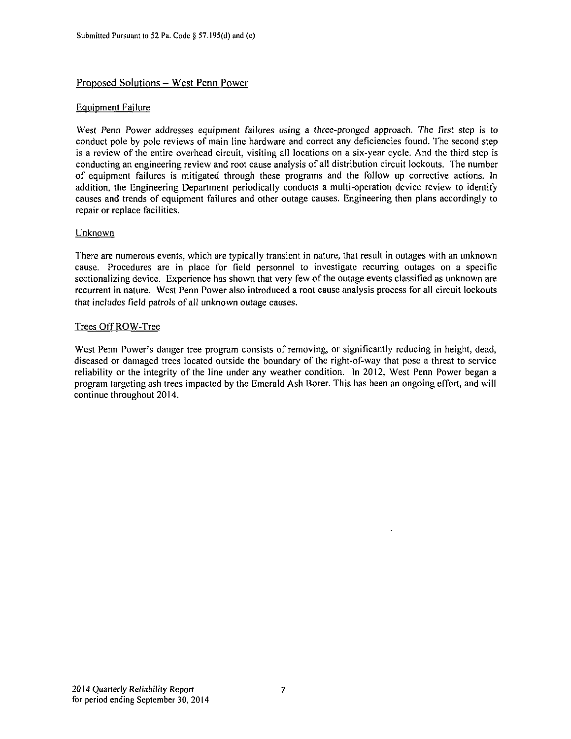#### Proposed Solutions - West Penn Power

#### Equipment Failure

West Penn Power addresses equipment failures using a three-pronged approach. The first step is to conduct pole by pole reviews of main line hardware and correct any deficiencies found. The second step is a review of the entire overhead circuit, visiting all locations on a six-year cycle. And the third step is conducting an engineering review and root cause analysis of all distribution circuit lockouts. The number of equipment failures is mitigated through these programs and the follow up corrective actions. In addition, the Engineering Department periodically conducts a multi-operation device review to identify causes and trends of equipment failures and other outage causes. Engineering then plans accordingly to repair or replace facilities.

#### Unknown

There are numerous events, which are typically transient in nature, that result in outages with an unknown cause. Procedures are in place for field personnel to investigate recurring outages on a specific sectionalizing device. Experience has shown that very few of the outage events classified as unknown are recurrent in nature. West Penn Power also introduced a root cause analysis process for all circuit lockouts that includes field patrols of all unknown outage causes.

#### Trees OffROW-Tree

West Penn Power's danger tree program consists of removing, or significantly reducing in height, dead, diseased or damaged trees located outside the boundary of the right-of-way that pose a threat to service reliability or the integrity of the line under any weather condition. In 2012. West Penn Power began a program targeting ash trees impacted by the Emerald Ash Borer. This has been an ongoing effort, and will continue throughout 2014.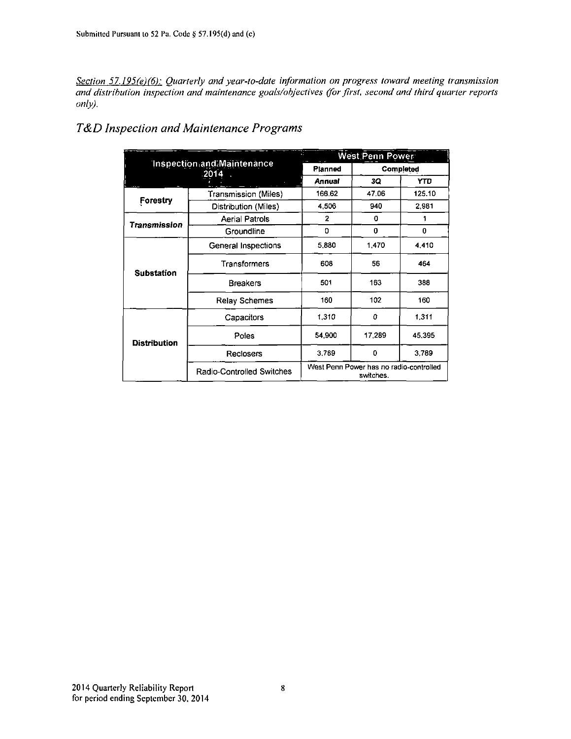*Section 57.195(e)(6): Quarterly and year-to-date information on progress toward meeting transmission and distribution inspection and maintenance goals/objectives (for first, second and third quarter reports only).* 

|                     |                                           | a B            | West Penn Power                                      |            |
|---------------------|-------------------------------------------|----------------|------------------------------------------------------|------------|
|                     | <b>Inspection and Maintenance</b><br>2014 | Planned        |                                                      | Completed  |
|                     |                                           | Annual         | 3Q                                                   | <b>YTD</b> |
|                     | Transmission (Miles)                      | 166.62         | 47.06                                                | 125.10     |
| Forestry            | Distribution (Miles)                      | 4,506          | 940                                                  | 2,981      |
| Transmission        | <b>Aerial Patrols</b>                     | $\overline{2}$ | 0                                                    |            |
|                     | Groundline                                | 0              | 0                                                    | 0          |
|                     | General Inspections                       | 5,880          | 1470                                                 | 4,410      |
| <b>Substation</b>   | Transformers                              | 608            | 56                                                   | 464        |
|                     | <b>Breakers</b>                           | 501            | 163                                                  | 388        |
|                     | Relay Schemes                             | 160            | 102                                                  | 160        |
|                     | Capacitors                                | 1.310          | 0                                                    | 1,311      |
| <b>Distribution</b> | Poles                                     | 54,900         | 17,289                                               | 45,395     |
|                     | <b>Reclosers</b>                          | 3.789          | 0                                                    | 3.789      |
|                     | Radio-Controlled Switches                 |                | West Penn Power has no radio-controlled<br>switches. |            |

### *T&D Inspection and Maintenance Programs*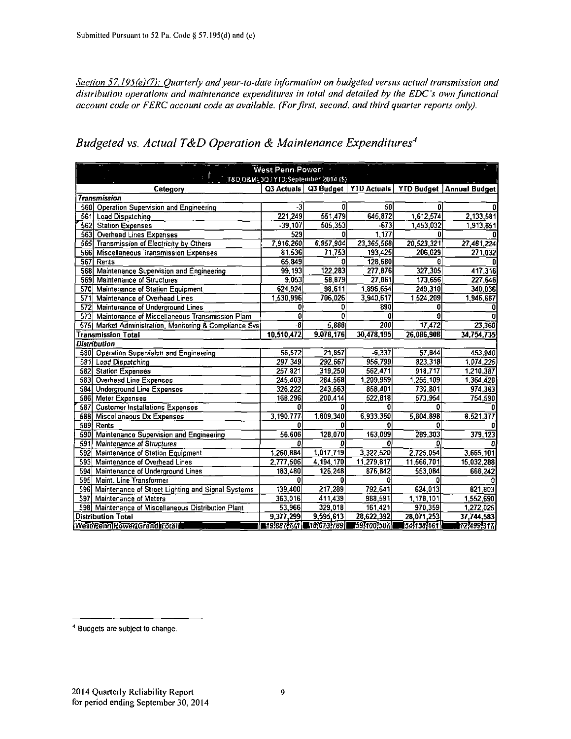**Section 57.195(e)(7): Quarterly and year-to-date information on budgeted versus actual transmission and** *distribution operations and maintenance expenditures in total and detailed by the EDC's own functional account code or FERC accounl code as available. (For first, second, and third quarter reports only).* 

| West Penn Power<br>T&D O&M: 30 / YTD: September 2014 (\$) |                         |           |            |             |                                                                   |  |  |  |
|-----------------------------------------------------------|-------------------------|-----------|------------|-------------|-------------------------------------------------------------------|--|--|--|
| Category                                                  |                         |           |            |             | Q3 Actuals   Q3 Budget   YTD Actuals   YTD Budget   Annual Budget |  |  |  |
| <b>Transmission</b>                                       |                         |           |            |             |                                                                   |  |  |  |
| 560 Operation Supervision and Engineering                 | -3                      | O         | 50         | n           | 0l                                                                |  |  |  |
| 561<br><b>Load Dispatching</b>                            | 221,249                 | 551,479   | 645,872    | 1,612,574   | 2,133.581                                                         |  |  |  |
| 562 Station Expenses                                      | $-39,107$               | 505,353   | $-673$     | 1,453,032   | 1,913.851                                                         |  |  |  |
| Overhead Lines Expenses<br>563                            | 529                     | 0         | 1,177      | O           | n                                                                 |  |  |  |
| 565 Transmission of Electricity by Others                 | 7916,260                | 6.957,904 | 23,365,568 | 20,523,321  | 27,481,224                                                        |  |  |  |
| 566<br><b>Miscellaneous Transmission Expenses</b>         | 81,536                  | 71,753    | 193,425    | 206,029     | 271,032                                                           |  |  |  |
| 567<br>Rents                                              | 65,849                  | 0         | 128,580    | G           |                                                                   |  |  |  |
| 568<br>Maintenance Supervision and Engineering            | 99,193                  | 122,283   | 277,876    | 327,305     | 417.316                                                           |  |  |  |
| 569<br><b>Maintenance of Structures</b>                   | 9,053                   | 58,879    | 27,861     | 173,656     | 227,546                                                           |  |  |  |
| 570 Maintenance of Station Equipment                      | 624,924                 | 98,611    | 1,896,654  | 249,310     | 340,036                                                           |  |  |  |
| 571<br>Maintenance of Overhead Lines                      | 1,530,996               | 706,026   | 3,940,617  | 1,524,209   | 1,946,687                                                         |  |  |  |
| 572<br>Maintenance of Underground Lines                   |                         | O         | 890        | 0           |                                                                   |  |  |  |
| 573<br>Maintenance of Miscellaneous Transmission Plant    | Ð                       | 0         | 0          | 0           |                                                                   |  |  |  |
| 575 Market Administration, Monitoring & Compliance Svs    | -8                      | 5,888     | 200        | 17,472      | 23,360                                                            |  |  |  |
| <b>Transmission Total</b>                                 | 10,510,472              | 9,078,176 | 30,478,195 | 26,086,908  | 34,754,735                                                        |  |  |  |
| <b>Distribution</b>                                       |                         |           |            |             |                                                                   |  |  |  |
| 580 Operation Supervision and Engineering                 | 56,572                  | 21,857    | $-6,337$   | 57,844      | 453.940                                                           |  |  |  |
| 581<br><b>Load Dispatching</b>                            | 297,349                 | 292,667   | 956,799    | 823,318     | 1,074,225                                                         |  |  |  |
| 582<br><b>Station Expenses</b>                            | 257,821                 | 319,250   | 562,471    | 918,717     | 1,210,387                                                         |  |  |  |
| 583<br>Overhead Line Expenses                             | 245,403                 | 284,568   | 1,209,959  | 1,255,109   | 1,364,428                                                         |  |  |  |
| 584 Underground Line Expenses                             | 326,222                 | 243,563   | 858,401    | 730,801     | 974, 363                                                          |  |  |  |
| 586 Meter Expenses                                        | 168,296                 | 200,414   | 522,818    | 573,954     | 754,590                                                           |  |  |  |
| 587<br><b>Customer Installations Expenses</b>             |                         |           | 0          |             |                                                                   |  |  |  |
| 588<br>Miscellaneous Dx Expenses                          | 3.190.777               | 1,809,340 | 6.933.350  | 5.804.898   | 8,521,377                                                         |  |  |  |
| 589 Rents                                                 |                         | n         | Ω          |             |                                                                   |  |  |  |
| 590<br>Maintenance Supervision and Engineering            | 56,606                  | 128,070   | 163,099    | 289,303     | 379, 123                                                          |  |  |  |
| 591<br><b>Maintenance of Structures</b>                   | Ω                       |           | Ω          |             |                                                                   |  |  |  |
| 592<br>Maintenance of Station Equipment                   | 1,260,884               | 1,017,719 | 3,322,520  | 2,725,054   | 3,665,101                                                         |  |  |  |
| 593<br>Maintenance of Overhead Lines                      | 2,777,506               | 4,194,170 | 11,279,817 | 11,566,701  | 15,032,288                                                        |  |  |  |
| 594<br>Maintenance of Underground Lines                   | 183,480                 | 126,248   | 876.642    | 553.084     | 668.242                                                           |  |  |  |
| 595 Maint. Line Transformer                               | n                       | 0         | O          |             |                                                                   |  |  |  |
| 596 Maintenance of Street Lighting and Signal Systems     | 139,400                 | 217,289   | 792,641    | 624,013     | 821,803                                                           |  |  |  |
| 597 Maintenance of Meters                                 | 363,016                 | 411,439   | 988,591    | 1,178,101   | 1.552.690                                                         |  |  |  |
| 598 Maintenance of Miscellaneous Distribution Plant       | 53,966                  | 329,018   | 161,421    | 970,359     | 1,272,025                                                         |  |  |  |
| <b>Distribution Total</b>                                 | 9,377,299               | 9,595,613 | 28.622,392 | 28,071,253  | 37,744,583                                                        |  |  |  |
| WestRenniPowerIGrand Totall                               | ■19,887,771 ■18,673,789 |           | 59,100,587 | 15451583161 | 17274991317                                                       |  |  |  |

### *Budgeted vs. Actual T&D Operation & Maintenance Expenditures'\**

<sup>&</sup>lt;sup>4</sup> Budgets are subject to change.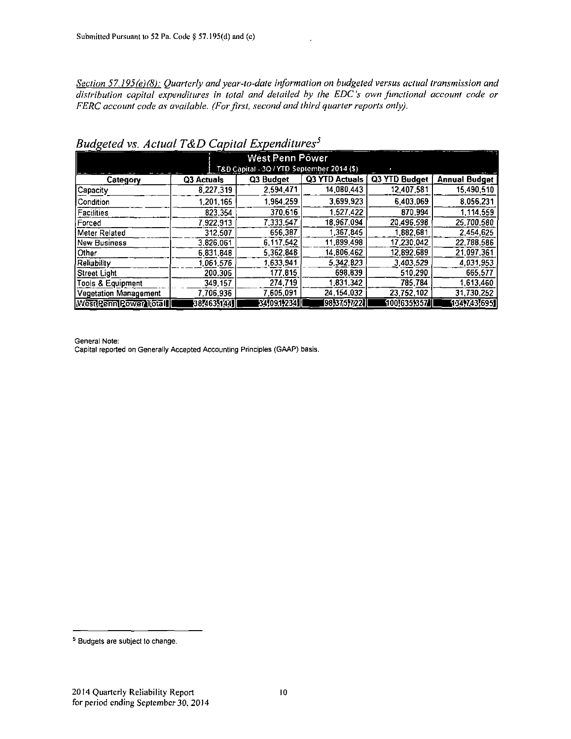*Section 57.195(e)(8): Quarterly and year-to-date information on budgeted versus actual transmission and distribution capital expenditures in total and detailed by the EDC's own functional account code or FERC account code as available. (For first, second and third quarter reports only).* 

| -၀-<br>West Penn Power                     |                   |            |                       |               |                      |  |  |  |  |  |
|--------------------------------------------|-------------------|------------|-----------------------|---------------|----------------------|--|--|--|--|--|
| T&D Capital - 3Q / YTD September 2014 (\$) |                   |            |                       |               |                      |  |  |  |  |  |
| Category                                   | Q3 Actuals        | Q3 Budget  | <b>Q3 YTD Actuals</b> | Q3 YTD Budget | <b>Annual Budget</b> |  |  |  |  |  |
| Capacity                                   | 8.227.319         | 2,594,471  | 14,080,443            | 12.407.581    | 15,490,510           |  |  |  |  |  |
| l Condition                                | 1,201,165         | 1.964.259  | 3,699 923             | 6 403 069     | 8.056.231            |  |  |  |  |  |
| Facilities                                 | 823,354           | 370,616    | 1,527,422             | 870,994       | 1.114.559            |  |  |  |  |  |
| l Forced                                   | 7.922.913         | 7.333.547  | 18,967,094            | 20,496,598    | 25,700,580           |  |  |  |  |  |
| Meter Related                              | 312.507           | 656,387    | 1.367.845             | 1.882,681     | 2.454.625            |  |  |  |  |  |
| <b>New Business</b>                        | 3,826,061         | 6,117,542  | 11.899.498            | 17.230.042    | 22,788.586           |  |  |  |  |  |
| <b>Other</b>                               | 6.831.848         | 5,362,848  | 14,806,462            | 12.892.689    | 21,097,361           |  |  |  |  |  |
| Reliability                                | 1.061.576         | 1,633,941  | 5.342.823             | 3,403,529     | 4,031,953            |  |  |  |  |  |
| <b>Street Light</b>                        | 200.306           | 177,815    | 698.839               | 510,290       | 665.577              |  |  |  |  |  |
| Tools & Equipment                          | 349.157           | 274.719    | 1.831.342             | 785.784       | 1,613,460            |  |  |  |  |  |
| <b>Vegetation Management</b>               | 7.706.936         | 7.605.091  | 24, 154, 032          | 23.752.102    | 31,730,252           |  |  |  |  |  |
| West <u>PennPower</u> itotal               | $[38]463$ $[441]$ | 34,091,234 | 98,375,7221           | (1001635,357/ | 134,743,6951         |  |  |  |  |  |

*Budgeted vs. Actual T&D Capital Expenditures<sup>5</sup>*

General Note:

Capital reported on Generally Accepted Accounting Principles (GAAP) basis.

<sup>&</sup>lt;sup>5</sup> Budgets are subject to change.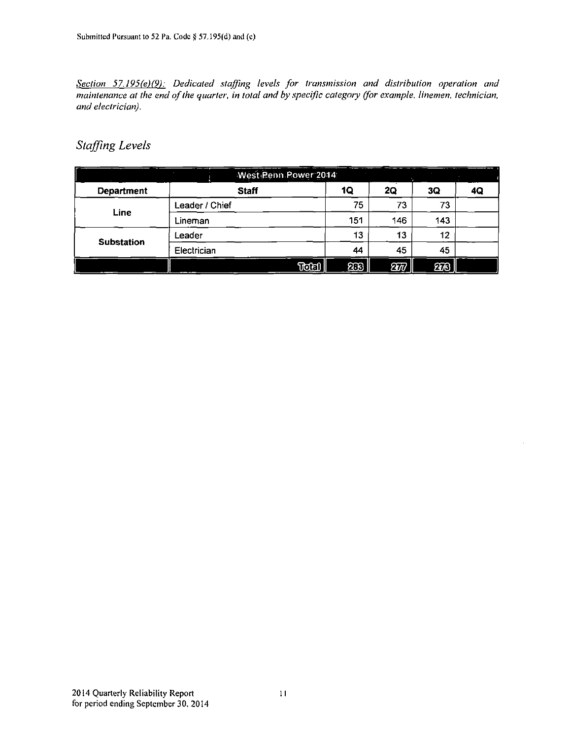*Section 57.195(e)(9): Dedicated staffing levels for transmission and distribution operation and maintenance at the end of the quarter, in total and by specific category (for example, linemen, technician, and electrician).* 

### *Staffing Levels*

|                   |                | West Penn Power 2014 |       |     |                 |     |    |
|-------------------|----------------|----------------------|-------|-----|-----------------|-----|----|
| <b>Department</b> |                | <b>Staff</b>         |       | 1Q  | 2Q              | 3Q  | 4Q |
|                   | Leader / Chief |                      |       | 75  | 73              | 73  |    |
| Line              | Lineman        |                      |       | 151 | 146             | 143 |    |
| Substation        | Leader         |                      |       | 13  | 13              | 12  |    |
|                   | Electrician    |                      |       | 44  | 45              | 45  |    |
|                   |                |                      | Total | 2⊡8 | $2\overline{w}$ | 278 |    |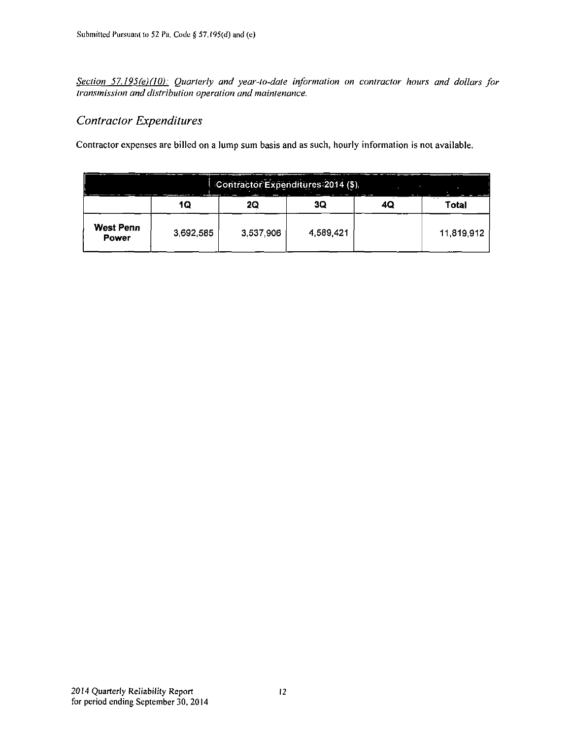*Section 57.195(e)(I0): Quarterly and year-to-date information on contractor hours and dollars for transmission and distribution operation and maintenance.* 

### *Contractor Expenditures*

Contractor expenses are billed on a lump sum basis and as such, hourly information is not available.

| Contractor Expenditures 2014 (\$)<br><b>Contract Contract Contract</b><br>$\sim$ |           |           |           |  |              |  |  |  |  |
|----------------------------------------------------------------------------------|-----------|-----------|-----------|--|--------------|--|--|--|--|
|                                                                                  | 10        | 2Q        | 3Q        |  | - -<br>Total |  |  |  |  |
| West Penn<br>Power                                                               | 3,692,585 | 3,537,906 | 4,589,421 |  | 11.819.912   |  |  |  |  |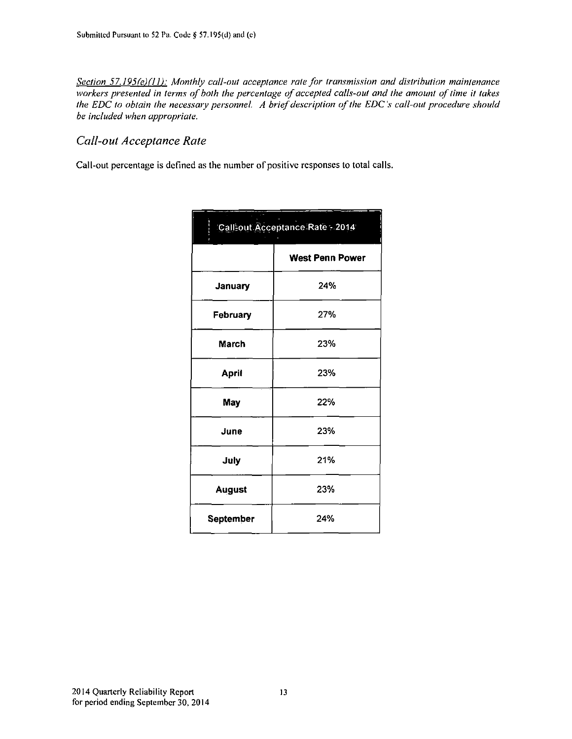*Section 57.195fe)(H): Monthly call-out acceptance rate for transmission and distribution maintenance workers presented in terms of both the percentage of accepted calls-out and the amount of time it takes the EDC to obtain the necessary personnel. A brief description of the EDC's call-out procedure should be included when appropriate.* 

### *Call-out Acceptance Rate*

Call-out percentage is defined as the number of positive responses to total calls.

| Call-out Acceptance Rate - 2014 |                        |  |  |  |  |  |  |
|---------------------------------|------------------------|--|--|--|--|--|--|
|                                 | <b>West Penn Power</b> |  |  |  |  |  |  |
| January                         | 24%                    |  |  |  |  |  |  |
| February                        | 27%                    |  |  |  |  |  |  |
| March                           | 23%                    |  |  |  |  |  |  |
| <b>April</b>                    | 23%                    |  |  |  |  |  |  |
| May                             | 22%                    |  |  |  |  |  |  |
| June                            | 23%                    |  |  |  |  |  |  |
| July                            | 21%                    |  |  |  |  |  |  |
| <b>August</b>                   | 23%                    |  |  |  |  |  |  |
| September                       | 24%                    |  |  |  |  |  |  |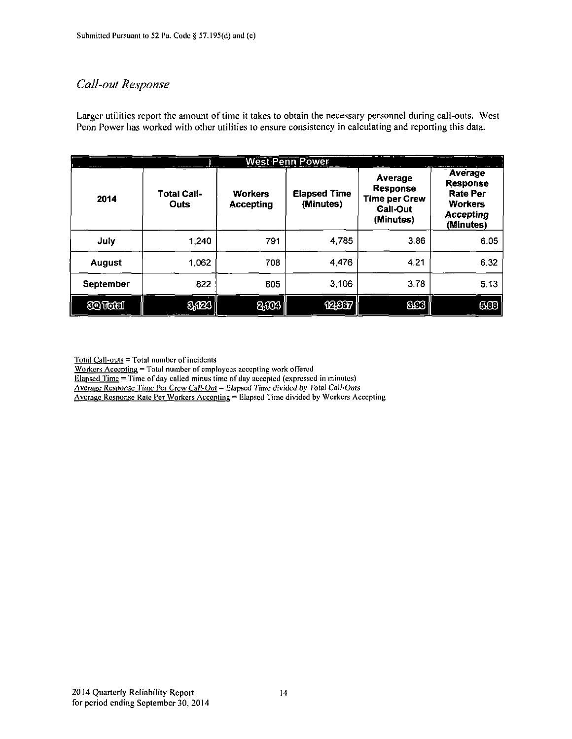### *Call-out Response*

Larger utilities report the amount of time it takes to obtain the necessary personnel during call-outs. West Penn Power has worked with other utilities to ensure consistency in calculating and reporting this data.

|               | <b>West Penn Power</b><br><b>Common Security Common Property</b> |                                    |                                  |                                                                             |                                                                                           |  |  |  |  |  |  |  |
|---------------|------------------------------------------------------------------|------------------------------------|----------------------------------|-----------------------------------------------------------------------------|-------------------------------------------------------------------------------------------|--|--|--|--|--|--|--|
| 2014          | <b>Total Call-</b><br>Outs                                       | <b>Workers</b><br><b>Accepting</b> | <b>Elapsed Time</b><br>(Minutes) | Average<br><b>Response</b><br><b>Time per Crew</b><br>Call-Out<br>(Minutes) | Average<br>Response<br><b>Rate Per</b><br><b>Workers</b><br><b>Accepting</b><br>(Minutes) |  |  |  |  |  |  |  |
| July          | 1,240                                                            | 791                                | 4.785                            | 3.86                                                                        | 6.05                                                                                      |  |  |  |  |  |  |  |
| <b>August</b> | 1,062                                                            | 708                                | 4,476                            | 4.21                                                                        | 6.32                                                                                      |  |  |  |  |  |  |  |
| September     | 822                                                              | 605                                | 3,106                            | 3.78                                                                        | 5.13                                                                                      |  |  |  |  |  |  |  |
| <b>tender</b> | 8,023                                                            | 2,003                              | 12.867                           | <b>SCG</b>                                                                  | 660                                                                                       |  |  |  |  |  |  |  |

Total Call-outs = Total number of incidents

Workers Accepting = Total number of employees accepting work offered

Elapsed Time = Time of day called minus time of day accepted (expressed in minutes)

Average Response Time Per Crew Call-Out = Elapsed Time divided by Total Call-Outs

Average Response Rate Per Workers Aceeptinp = Elapsed Time divided by Workers Accepting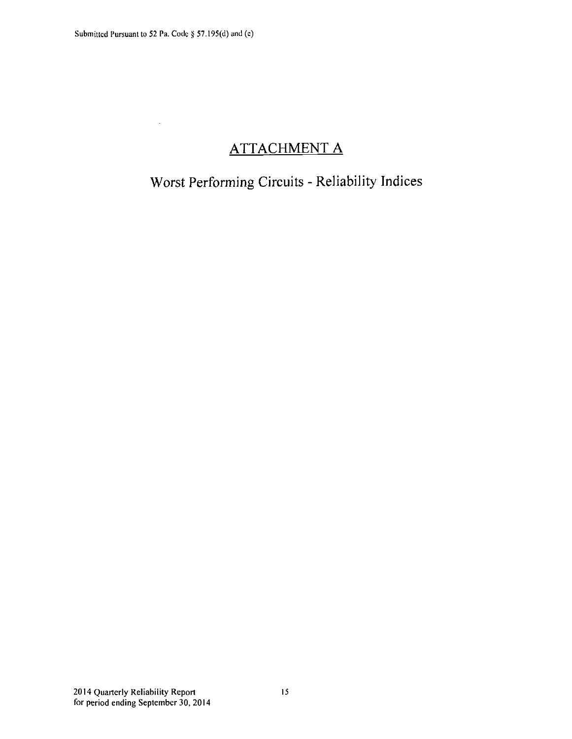$\overline{\phantom{a}}$ 

## **ATTACHMENT A**

## **Worst Performing Circuits - Reliability Indices**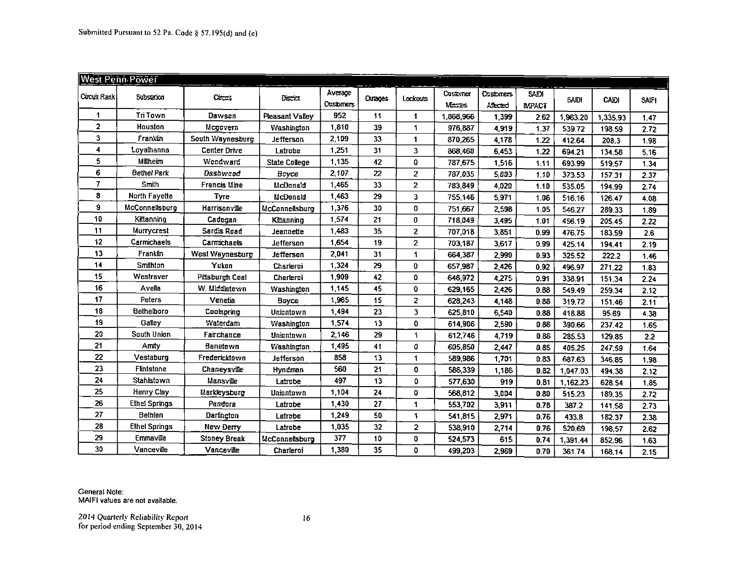|             | <b>West Penn Power</b> |                     |                      |                             |                |                      |                    |                               |                      |             |              |       |
|-------------|------------------------|---------------------|----------------------|-----------------------------|----------------|----------------------|--------------------|-------------------------------|----------------------|-------------|--------------|-------|
| Cucuit Rank | Substason              | Cross               | Decki                | Average<br><b>Costomers</b> | <b>Outages</b> | Lockouts             | Customer<br>Marzes | <b>C</b> asterness<br>Alected | S DI<br><b>LPACT</b> | <b>SADI</b> | <b>CAIDI</b> | SAIFI |
| 1           | <b>Tri Town</b>        | Davison             | Pleasant Valley      | 952                         | 11             | $\blacktriangleleft$ | 1,868,966          | 1,399                         | 2.62                 | 1,963.20    | 1,335.93     | 1.47  |
| 2           | Houston                | Mcgovern            | Washington           | 1,810                       | 39             | 1                    | 976,887            | 4,919                         | 1.37                 | 539.72      | 198.59       | 2.72  |
| 3           | Franklin               | South Waynesburg    | Jefferson            | 2,109                       | 33             | 1                    | 870,265            | 4,178                         | 1.22                 | 412.64      | 208.3        | 1.98  |
| 4           | Loyalhanna             | Center Drive        | Latrobe              | 1,251                       | 31             | 3                    | 868,460            | 6,453                         | 1.22                 | 694.21      | 134.58       | 5.16  |
| 5           | Milheim                | Woodward            | <b>State College</b> | 1,135                       | 42             | 0                    | 787,675            | 1,516                         | 1.11                 | 693.99      | 519.57       | 1.34  |
| 6           | <b>Bethel Park</b>     | Dashwood            | Boyce                | 2,107                       | 22             | $\overline{2}$       | 787,035            | 5,003                         | 1.10                 | 373.53      | 157.31       | 2.37  |
| 7           | Smith                  | <b>Francis Mine</b> | McDonald             | 1,465                       | 33             | $\overline{2}$       | 783,849            | 4,020                         | 1.10                 | 535.05      | 194.99       | 2.74  |
| 8           | North Fayette          | Туте                | McDonald             | 1,463                       | 29             | 3                    | 755,146            | 5,971                         | 1.06                 | 516.16      | 126.47       | 4.08  |
| 9           | <b>McConnellsburg</b>  | Harrisonville       | McConnellsburg       | 1,376                       | 30             | 0                    | 751,667            | 2,598                         | 1.05                 | 546.27      | 289.33       | 1.89  |
| 10          | Kittanning             | Cadegan             | Kittanning           | 1,574                       | 21             | 0                    | 718,049            | 3,495                         | 1.01                 | 456.19      | 205.45       | 2.22  |
| 11          | Murrycrest             | Sardis Road         | Jeannette            | 1,483                       | 35             | $\overline{2}$       | 707,018            | 3,851                         | 0.99                 | 476.75      | 183.59       | 2.6   |
| 12          | Carmichaels            | Carmichaels         | Jefferson            | 1,654                       | 19             | 2                    | 703,187            | 3,617                         | 0.99                 | 425.14      | 194.41       | 2.19  |
| 13          | Franklin               | West Waynesburg     | Jefferson            | 2,041                       | 31             | 1                    | 664,387            | 2,990                         | 0.93                 | 325.52      | 222.2        | 1.46  |
| 14          | Smithton               | Yukon               | Charlerci            | 1,324                       | 29             | 0                    | 657,987            | 2,426                         | 0.92                 | 496.97      | 271.22       | 1.83  |
| 15          | Westraver              | Pittsburgh Coal     | Charleroi            | 1,909                       | 42             | 0                    | 646,972            | 4,275                         | 0.91                 | 338.91      | 151.34       | 2.24  |
| 16          | Avella                 | W. Middletown       | Washington           | 1,145                       | 45             | 0                    | 629,165            | 2,426                         | 0.88                 | 549.49      | 259.34       | 2.12  |
| 17          | Peters                 | Venetia             | Boyce                | 1,965                       | 15             | $\overline{2}$       | 628,243            | 4,148                         | 0.88                 | 319.72      | 151.46       | 2.11  |
| 18          | Bethelboro             | Coolspring          | Uniontown            | 1,494                       | 23             | 3.                   | 625,810            | 6,540                         | 0.88                 | 418.88      | 95.69        | 4.38  |
| 19          | Galley                 | Waterdam            | Washington           | 1,574                       | 13             | $\mathbf 0$          | 614,906            | 2,590                         | 0.86                 | 390.66      | 237.42       | 1.65  |
| 20          | South Union            | Fairchance          | Uniontown            | 2,146                       | 29             | 1                    | 612,746            | 4,719                         | 0.86                 | 285.53      | 129.85       | 2.2   |
| 21          | Amity                  | Banetewn            | Washington           | 1,495                       | 41             | 0                    | 605,850            | 2,447                         | 0.85                 | 405.25      | 247.59       | 1.64  |
| 22          | Vestaburg              | Fredericktown       | Jefferson            | 858                         | 13             | 1                    | 589,986            | 1,701                         | 0.83                 | 687.63      | 346.85       | 1.98  |
| 23          | Flintstone             | Chaneysville        | Hyndman              | 560                         | 21             | 0                    | 586,339            | 1,186                         | 0.82                 | 1,047.03    | 494.38       | 2.12  |
| 24          | Stahlstown             | Mansville           | Latrobe              | 497                         | 13             | 0                    | 577,630            | 919                           | 0.81                 | 1,162.23    | 628.54       | 1.85  |
| 25          | Henry Clay             | Markleysburg        | Uniontown            | 1,104                       | 24             | 0                    | 568,812            | 3,004                         | 0.80                 | 515.23      | 189.35       | 2.72  |
| 26          | <b>Ethel Springs</b>   | Pandora             | Latrobe              | 1,430                       | 27             | 1                    | 553,702            | 3,911                         | 0.78                 | 387.2       | 141.58       | 2.73  |
| 27          | <b>Bethlen</b>         | Darlington          | Latrobe              | 1,249                       | 50             | $\mathbf{1}$         | 541,815            | 2,971                         | 0.76                 | 433.8       | 182.37       | 2.38  |
| 28          | <b>Ethel Springs</b>   | New Derry           | Latrobe              | 1,035                       | 32             | $\overline{2}$       | 538,910            | 2,714                         | 0.76                 | 520.69      | 198.57       | 2.62  |
| 29          | Emmaville              | Stoney Break        | McConnellsburg       | 377                         | 10             | 0                    | 524,573            | 615                           | 0.74                 | 1,391.44    | 852.96       | 1.63  |
| 30          | Vanceville             | Vanceville          | Charleroi            | 1,380                       | 35             | 0                    | 499,203            | 2,969                         | 0.70                 | 361.74      | 168.14       | 2.15  |

General Note: MAIFI values are not available.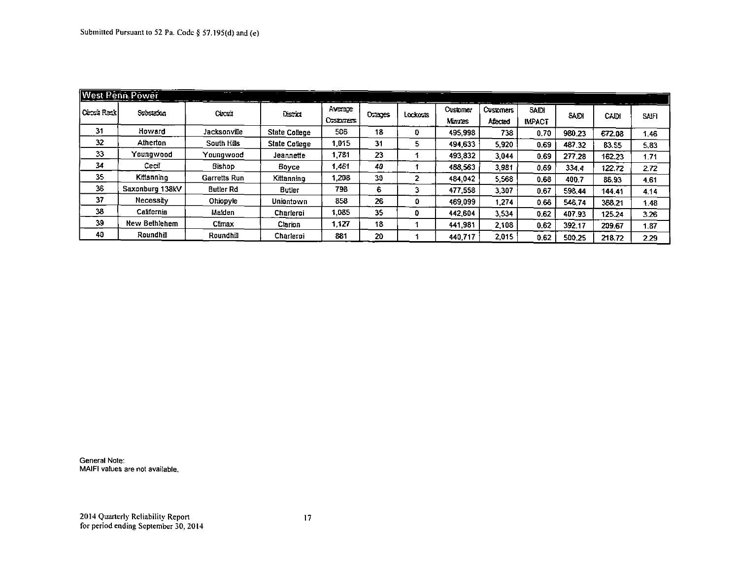|               | <b>West Penn, Power</b> | $\overline{\phantom{a}}$ |                      |                      |        |                |                    |                              |                               |        |        |              |
|---------------|-------------------------|--------------------------|----------------------|----------------------|--------|----------------|--------------------|------------------------------|-------------------------------|--------|--------|--------------|
| Ceptrin Racik | Substance:              | Cucut                    | District             | Average<br>Casternas | Orages | Lockosts       | Customer<br>Mautes | <b>Customers</b><br>Affected | <b>SAIDI</b><br><b>IMPACT</b> | SADI   | C-DI   | <b>SAIFI</b> |
| 31            | How ard                 | Jacksonville             | <b>State College</b> | 506                  | 18     | 0              | 495.998            | 738                          | 0.70                          | 980.23 | 672.08 | 1.46         |
| 32            | Atherton                | South Hills              | <b>State College</b> | I.015                | 31     | 5.             | 494,633            | 5.920                        | 0.69                          | 487.32 | 83.55  | 5,83         |
| 33            | Youngwood               | Youngwood                | Jeannette            | 1.781                | 23     |                | 493,832            | 3.044                        | 0.69                          | 277.28 | 162.23 | 1.71         |
| 34            | Cecil                   | Bishop                   | Bovce                | 1,461                | 40     |                | 488.563            | 3.981                        | 0.69                          | 3344   | 122.72 | 2.72         |
| 35            | Kittanning              | Garretts Run             | Kittanning           | .208                 | 30     | $\overline{2}$ | 484.042            | 5.568                        | 0.68                          | 400.7  | 86.93  | 4.61         |
| 36            | Saxonburg 138kV         | <b>Butler Rd</b>         | <b>Butler</b>        | 798                  | 6      | 3              | 477,558            | 3.307                        | 0.67                          | 598.44 | 144.41 | 4.14         |
| 37            | Necessity               | Ohiopyle                 | Uniontown            | 858                  | 26     | 0              | 469.099            | 1.274                        | 0.66                          | 546.74 | 388.21 | .48          |
| 38            | California              | Malden                   | <b>Charleroi</b>     | 1.085                | 35     | 0              | 442.604            | 3.534                        | 0.62                          | 407.93 | 125.24 | 3.26         |
| 39            | <b>New Bethlehem</b>    | Climax                   | Clarion              | 1,127                | 18     |                | 441.981            | 2.108                        | 0.62                          | 392.17 | 209.67 | 1.87         |
| 40            | Roundhill               | Roundhil                 | Charleroi            | 881                  | 20     |                | 440.717            | 2.015                        | 0.62                          | 500.25 | 218.72 | 2.29         |

General Note: MAIFI values are not available.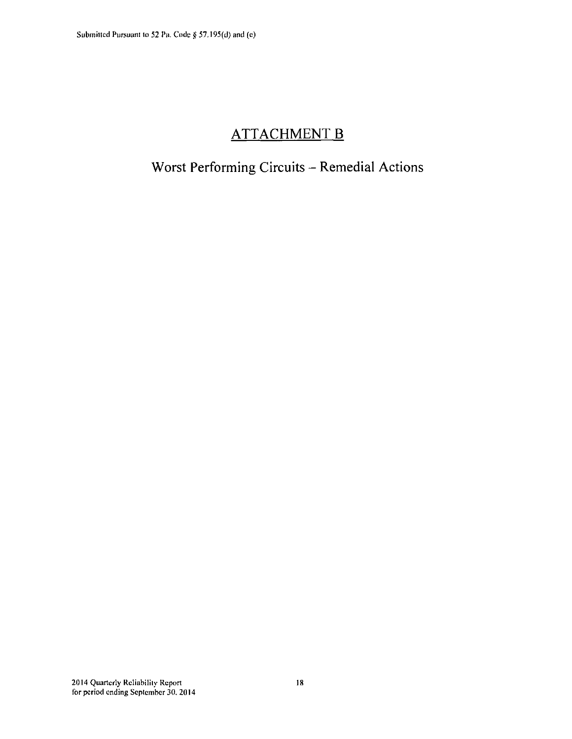## **ATTACHMENT B**

## **Worst Performing Circuits - Remedial Actions**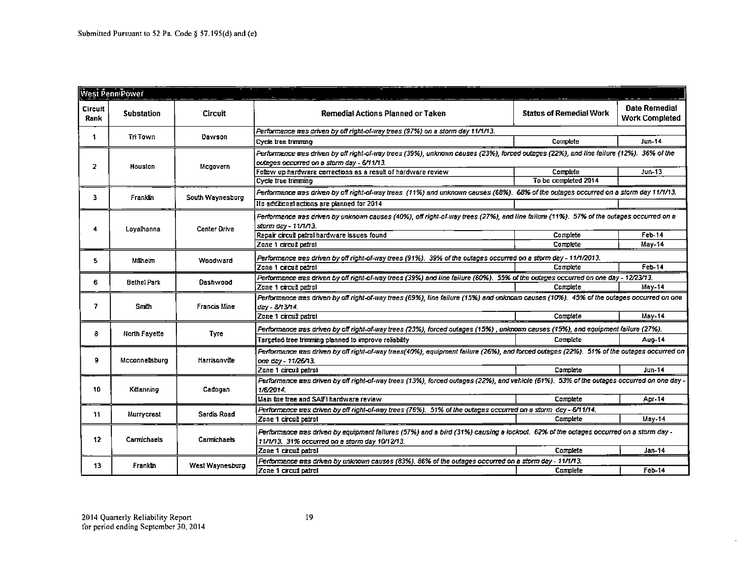|                 | <b>West PenniPower</b> |                     |                                                                                                                                                                                       |                                |                                               |  |  |  |  |
|-----------------|------------------------|---------------------|---------------------------------------------------------------------------------------------------------------------------------------------------------------------------------------|--------------------------------|-----------------------------------------------|--|--|--|--|
|                 |                        |                     |                                                                                                                                                                                       |                                |                                               |  |  |  |  |
| Circuit<br>Rank | <b>Substation</b>      | Circuit             | Remedial Actions Planned or Taken                                                                                                                                                     | <b>Status of Remedial Work</b> | <b>Date Remedial</b><br><b>Work Completed</b> |  |  |  |  |
|                 |                        |                     | Performance mas driven by off right-of-way trees (97%) on a storm day 11/1/13.                                                                                                        |                                |                                               |  |  |  |  |
| 1               | Tri Town               | Dawson              | Cycle tree trimmino                                                                                                                                                                   | Complete                       | <b>Jun-14</b>                                 |  |  |  |  |
| $\mathbf{z}$    | Houston                | Mcgovern            | Performance was driven by off right-of-way trees (39%), unknown causes (23%), forced outages (22%), and line failure (12%). 36% of the<br>outages occurred on a storm day - 6/11/13.  |                                |                                               |  |  |  |  |
|                 |                        |                     | Follow up hardware corrections as a result of hardware review                                                                                                                         | Complete                       | $Jun-13$                                      |  |  |  |  |
|                 |                        |                     | Cycle tree trimming                                                                                                                                                                   | To be completed 2014           |                                               |  |  |  |  |
|                 |                        |                     | Ferformance tras driven by off right-of-way trees (11%) and unknown causes (68%). 68% of the outages occurred on a storm day 11/1/13.                                                 |                                |                                               |  |  |  |  |
| 3.              | Franklin               | South Waynesburg    | He additional actions are planned for 2014                                                                                                                                            |                                |                                               |  |  |  |  |
| 4               | Loyalhanna             | <b>Center Drive</b> | Ferformance tras driven by unknown causes (40%), off right-of-way trees (27%), and line failure (11%). 57% of the outages occurred on a<br>storm day - 11/1/13.                       |                                |                                               |  |  |  |  |
|                 |                        |                     | Repair circuit patrol hardware issues found                                                                                                                                           | Complete                       | Feb-14<br>May-14                              |  |  |  |  |
|                 |                        |                     | Zone 1 circuit patrol                                                                                                                                                                 | Complete                       |                                               |  |  |  |  |
| 5.              | Milheim                | Woodward            | Performance tras driven by off right-of-way trees (91%). 39% of the outages occurred on a storm day - 11/1/2013.                                                                      |                                |                                               |  |  |  |  |
|                 |                        |                     | Zone 1 circuit patrol                                                                                                                                                                 | Complete                       | Feb 14                                        |  |  |  |  |
| 6.              | <b>Bethel Park</b>     | Dashwood            | Ferformence was driven by off right-of-way trees (39%) and line failure (60%). 55% of the outages occurred on one day - 12/23/13.                                                     |                                |                                               |  |  |  |  |
|                 |                        |                     | Zone 1 circuit patrol                                                                                                                                                                 | Complete                       | $May-14$                                      |  |  |  |  |
| 7               | Smih                   | Francis Mine        | Performance mas driven by off right-of-way trees (69%), line failure (15%) and unknown causes (10%). 45% of the outages occurred on one<br>$d\bar{c}$ $/$ - $B/3/3$                   |                                |                                               |  |  |  |  |
|                 |                        |                     | Zone 1 circuit patrol                                                                                                                                                                 | Complete                       | May-14                                        |  |  |  |  |
| 8               | North Fayette          | <b>Tyre</b>         | Ferformance was driven by off right-of-way trees (23%), forced outages (15%), unknown causes (15%), and equipment failure (27%).                                                      |                                |                                               |  |  |  |  |
|                 |                        |                     | Targeted tree trimming planned to improve reliability                                                                                                                                 | Complete                       | Aug-14                                        |  |  |  |  |
| 9               | Mcconnellsburg         | Harrisonville       | Ferformance was driven by off right-of-way trees(40%), equipment failure (26%), and forced outages (22%). 51% of the outages occurred on<br>one day - 11/26/13.                       |                                |                                               |  |  |  |  |
|                 |                        |                     | Zone 1 circuit patrol                                                                                                                                                                 | Complete                       | <b>Jun-14</b>                                 |  |  |  |  |
| 10              | Kittannino             | Cadogan             | Ferformence ares driven by off right-of-way trees (13%), forced outages (22%), and vehicle (61%). 53% of the outages occurred on one day -<br>1/6/2014                                |                                |                                               |  |  |  |  |
|                 |                        |                     | Main line tree and SAIFI hardware review                                                                                                                                              | Complete                       | Apr-14                                        |  |  |  |  |
| 11              | Murrycrest             | Sardis Road         | Performance was driven by off right-of-way trees (76%). 51% of the outages occurred on a storm day - 6/11/14.                                                                         |                                |                                               |  |  |  |  |
|                 |                        |                     | Zone 1 circuit patrot                                                                                                                                                                 | Complete                       | May-14                                        |  |  |  |  |
| 12              | Carmichaets            | Carmichaels         | Performance was driven by equipment failures (57%) and a bird (31%) causing a lockout. 62% of the outages occurred on a storm day -<br>11/1/13. 31% occurred on a storm day 10/12/13. |                                |                                               |  |  |  |  |
|                 |                        |                     | Zone 1 circuit patrol                                                                                                                                                                 | Complete                       | Jan-14                                        |  |  |  |  |
| 13              | Franklin               | West Waynesburg     | Ferformance tras driven by unknown causes (83%). 86% of the outages occurred on a storm day - 11/1/13.                                                                                |                                |                                               |  |  |  |  |
|                 |                        |                     | Zone 1 circuit patrol                                                                                                                                                                 | Complete                       | $Feb-14$                                      |  |  |  |  |

 $\overline{\phantom{a}}$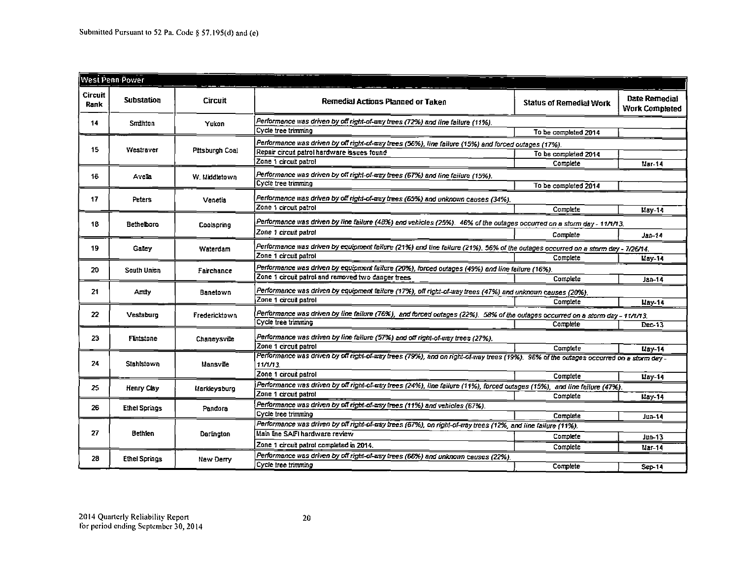| <b>West Penn Power</b> |                      |                 |                                                                                                                                                |                                |                                        |
|------------------------|----------------------|-----------------|------------------------------------------------------------------------------------------------------------------------------------------------|--------------------------------|----------------------------------------|
| Circuit<br><b>Rank</b> | Substation           | Circuit         | Remedial Actions Planned or Taken                                                                                                              | <b>Status of Remedial Work</b> | Date Remedial<br><b>Work Completed</b> |
| 14                     | Smithton             | Yukon           | Performance was driven by off right-of-way bees (72%) and line failure (11%).                                                                  |                                |                                        |
|                        |                      |                 | Cycle tree trimming                                                                                                                            | To be completed 2014           |                                        |
| 15                     | Westraver            | Pittsburgh Coal | Performance was driven by off right-of-way trees (56%), line failure (15%) and forced outages (17%).                                           |                                |                                        |
|                        |                      |                 | Repair circuit patrol hardware issues found                                                                                                    | To be completed 2014           |                                        |
|                        |                      |                 | Zone 1 circuit patrol                                                                                                                          | Complete                       | Mar 14                                 |
| 16                     | Avela                | W. Middletown   | Performance was driven by off right-of-azy trees (67%) and line failure (15%).                                                                 |                                |                                        |
|                        |                      |                 | Cycle tree trimming                                                                                                                            | To be completed 2014           |                                        |
| 17                     | Peters               | Venetia         | Performance was driven by off right-of-way trees (65%) and unknown causes (34%).                                                               |                                |                                        |
|                        |                      |                 | Zone 1 circuit patrol                                                                                                                          | Complete                       | May-14                                 |
|                        |                      |                 | Performance was driven by line failure (48%) and vehicles (25%). 46% of the outages occurred on a storm day - 11/1/13.                         |                                |                                        |
| 18                     | <b>Bethelboro</b>    | Coolspring      | Zone 1 circuit patrol                                                                                                                          |                                |                                        |
|                        |                      |                 |                                                                                                                                                | Complete                       | $Jan-14$                               |
| 19                     | Galey                | Waterdam        | Performance was driven by equipment failure (21%) and line failure (21%). 56% of the outages occurred on a storm day - 7/26/14.                |                                |                                        |
|                        |                      |                 | Zone 1 circuit patrol                                                                                                                          | Complete                       | May 14                                 |
| 20                     | South Union          | Fairchance      | Performance was driven by equipment failure (20%), forced outages (49%) and line failure (16%).                                                |                                |                                        |
|                        |                      |                 | Zone 1 circuit patrol and removed two dancer trees                                                                                             | Complete                       | Jan-14                                 |
| 21                     | Amily                | Banetown        | Performance was driven by equipment failure (17%), off right-of-way trees (47%) and unknown causes (20%).                                      |                                |                                        |
|                        |                      |                 | Zone 1 circuit patrol                                                                                                                          | Complete                       | May 14                                 |
| 22                     | Vestaburg            | Fredericktown   | Performance was driven by line failure (76%), and forced outages (22%). 58% of the outages occurred on a storm day - 11/1/13.                  |                                |                                        |
|                        |                      |                 | Cycle tree trimming                                                                                                                            | Complete                       | Dec-13                                 |
| 23                     | <b>Finistone</b>     | Chaneysville    | Performance was driven by line failure (57%) and off right-of-way trees (27%).                                                                 |                                |                                        |
|                        |                      |                 | Zone 1 circuit patrol                                                                                                                          | Complete                       | $_{\text{Law}-14}$                     |
|                        |                      | Mansville       | Performance was driven by off right-of-way trees (79%), and on right-of-way trees (19%). 96% of the outages occurred on a storm day -          |                                |                                        |
| 24                     | <b>Stahlstown</b>    |                 | $11/1/13$ .                                                                                                                                    |                                |                                        |
|                        |                      |                 | Zone 1 circuit patrol                                                                                                                          | Complete                       | $\mu$ ay-14                            |
| 25.                    | Henry Clay           | Markleysburg    | Performance was driven by off right-of-sey trees (24%), line failure (11%), forced outages (15%), and line failure (47%).                      |                                |                                        |
|                        |                      |                 | Zone 1 circuit patrol                                                                                                                          | Complete                       | May-14                                 |
| 26                     | <b>Ethel Springs</b> | Pandora         | Performance was driven by off right-of-uzy frees (11%) and vehicles (67%).                                                                     |                                |                                        |
|                        |                      |                 | Cycle tree trimming                                                                                                                            | Complete                       | Jun-14                                 |
| 27                     | Bethien              | Darlington      | Performance was driven by off right-of-say trees (67%), on right-of-way trees (12%, and line failure (11%).<br>Main line SAIFI hardware review |                                |                                        |
|                        |                      |                 | Zone 1 circuit patrol completed in 2014.                                                                                                       | Complete                       | Jun-13                                 |
|                        |                      |                 |                                                                                                                                                | Complete                       | $Mar-14$                               |
| 28                     | <b>Ethel Springs</b> | New Derry       | Performance was driven by off right-of-azy trees (66%) and unknown causes (22%).<br>Cycle tree trimming                                        |                                |                                        |
|                        |                      |                 |                                                                                                                                                | Complete                       | Sep 14                                 |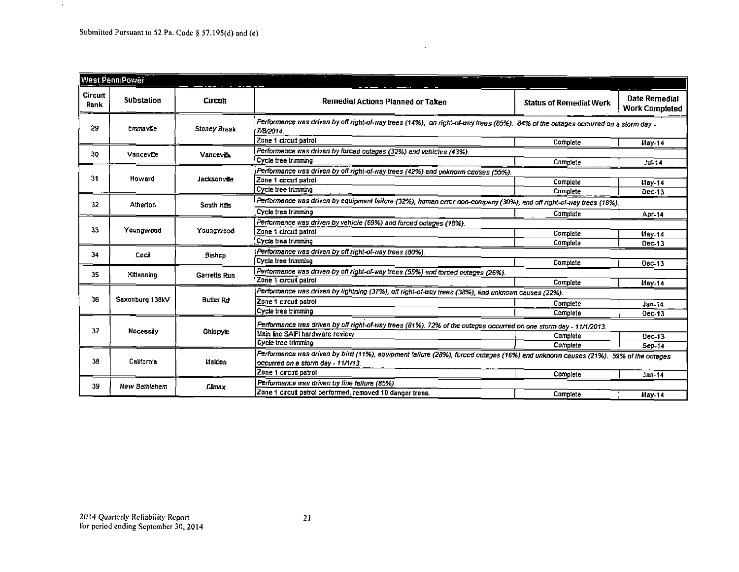$\sim$ 

| West Penn Power        |                   |                     |                                                                                                                                              |                                |                                        |
|------------------------|-------------------|---------------------|----------------------------------------------------------------------------------------------------------------------------------------------|--------------------------------|----------------------------------------|
| <b>Circuit</b><br>Rank | <b>Substation</b> | Circuit             | Remedial Actions Planned or Taken                                                                                                            | <b>Status of Remedial Work</b> | Date Remedial<br><b>Work Completed</b> |
| 29                     | Emmaylle          | <b>Stoney Break</b> | Performance was driven by off right-of-way trees (14%), on right-of-way trees (85%). 84% of the outages occurred on a storm day<br>7/8/2014. |                                |                                        |
|                        |                   |                     | Zone 1 circuit patrol                                                                                                                        | Complete                       | May-14                                 |
| 30                     | Vanceville        | Vance die           | Performance was driven by forced outages (32%) and vehicles (43%).                                                                           |                                |                                        |
|                        |                   |                     | Cycle tree trimming                                                                                                                          | Complete                       | <b>Jul-14</b>                          |
|                        |                   | Jacksonville        | Performance was driven by off right-of-way trees (42%) and unknown causes (55%).                                                             |                                |                                        |
| 31                     | Howard            |                     | Zone 1 circuit patrol                                                                                                                        | Complete                       | $May-14$                               |
|                        |                   |                     | Cycle tree trimming                                                                                                                          | Complete                       | Dec-13                                 |
| 32                     | Atherton          | South Hills         | Performance was driven by equipment failure (32%), human error non-company (30%), and off right-of-way trees (18%).                          |                                |                                        |
|                        |                   |                     | Cycle tree trimming                                                                                                                          | Complete                       | Apr-14                                 |
|                        | Youngwood         | Youngw.cod          | Performance was driven by vehicle (69%) and forced outages (18%).                                                                            |                                |                                        |
| 33                     |                   |                     | Zone 1 circuit patrol                                                                                                                        | Complete                       | May-14                                 |
|                        |                   |                     | Cycle tree trimming                                                                                                                          | Complete                       | Dec-13                                 |
| 34                     | Cecil             | Bishop              | Performance was driven by off right-of-way trees (80%).                                                                                      |                                |                                        |
|                        |                   |                     | Cycle tree trimming                                                                                                                          | Complete                       | Dec-13                                 |
| 35                     | Kittanning        | Garretts Run        | Performance was driven by off right-of-way trees (55%) and forced outages (26%).                                                             |                                |                                        |
|                        |                   |                     | Zone 1 circuit patrol                                                                                                                        | Complete                       | $1.8y - 14$                            |
|                        | Saxonburg 138kV   | <b>Butler Rd</b>    | Performance was driven by lightning (37%), off right-of-way trees (38%), and unknown causes (22%).                                           |                                |                                        |
| 36                     |                   |                     | Zone 1 circuit patrol                                                                                                                        | Complete                       | Jan-14                                 |
|                        |                   |                     | Cycle tree trimming                                                                                                                          | Complete                       | Dec-13                                 |
|                        | <b>Necessity</b>  | <b>Ohiopyle</b>     | Performance was driven by off right-of-way trees (81%). 72% of the outages occurred on one storm day - 11/1/2013.                            |                                |                                        |
| 37                     |                   |                     | Main line SAIFI hardware review                                                                                                              | Complete                       | Dec-13                                 |
|                        |                   |                     | Cycle tree trimming                                                                                                                          | Complete                       | Sep.14                                 |
|                        | California        | Malden              | Performance was driven by bird (11%), equipment failure (28%), forced outages (16%) and unknown causes (21%). 59% of the outages             |                                |                                        |
| 38                     |                   |                     | occurred on a storm day - 11/1/13.                                                                                                           |                                |                                        |
|                        |                   |                     | Zone 1 circuit patrol                                                                                                                        | Complete                       | Jan-14                                 |
| 39                     | New Bethlehem     | Cimex               | Performance was driven by line failure (85%).                                                                                                |                                |                                        |
|                        |                   |                     | Zone 1 circuit patrol performed, removed 10 danger trees.                                                                                    | Complete                       | $May-14$                               |

 $\ddot{\phantom{a}}$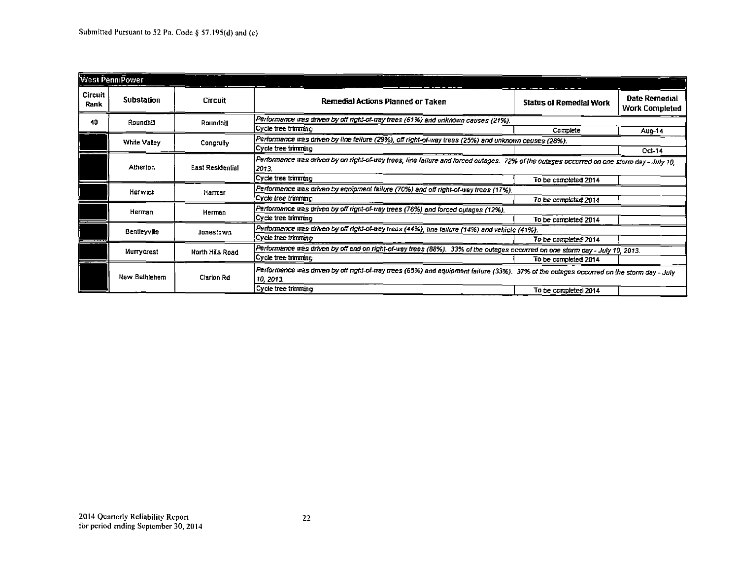| <b>West PenniPower</b> |                                                                                                                                                                                     |                                                                                                                                                  |                                                                                                                                                   |                                |                                 |
|------------------------|-------------------------------------------------------------------------------------------------------------------------------------------------------------------------------------|--------------------------------------------------------------------------------------------------------------------------------------------------|---------------------------------------------------------------------------------------------------------------------------------------------------|--------------------------------|---------------------------------|
| Circuit<br>Rank        | <b>Substation</b>                                                                                                                                                                   | Circuit                                                                                                                                          | Remedial Actions Planned or Taken                                                                                                                 | <b>Status of Remedial Work</b> | Date Remedial<br>Work Completed |
| 40                     | Roundhill                                                                                                                                                                           | Roundhill                                                                                                                                        | Performance was driven by off right-of-way trees (61%) and unknown causes (21%).                                                                  |                                |                                 |
|                        |                                                                                                                                                                                     |                                                                                                                                                  | Cycle tree trimming                                                                                                                               | Complete                       | Aug-14                          |
|                        | White Valley                                                                                                                                                                        | Congruity                                                                                                                                        | Performence was driven by line failure (29%), off right-of-way trees (25%) and unknown ceuses (28%).                                              |                                |                                 |
|                        |                                                                                                                                                                                     |                                                                                                                                                  | Cycle tree trimming                                                                                                                               |                                | Oct-14                          |
|                        | Atherion                                                                                                                                                                            | <b>East Residential</b>                                                                                                                          | Performance was driven by on right-of-way trees, line failure and forced outages. 72% of the outages occurred on one storm day - July 10,<br>2013 |                                |                                 |
|                        |                                                                                                                                                                                     |                                                                                                                                                  | Cycle tree trimming                                                                                                                               | To be completed 2014           |                                 |
|                        | Harwick                                                                                                                                                                             | Harmar                                                                                                                                           | Performance was driven by equipment failure (70%) and off right-of-way trees (17%).                                                               |                                |                                 |
|                        |                                                                                                                                                                                     |                                                                                                                                                  | Cycle tree tranming                                                                                                                               | To be completed 2014           |                                 |
|                        | Herman                                                                                                                                                                              | Herman                                                                                                                                           | Performance was driven by off right-of-way trees (76%) and forced outages (12%).                                                                  |                                |                                 |
|                        |                                                                                                                                                                                     |                                                                                                                                                  | Cycle tree trimming                                                                                                                               | To be completed 2014           |                                 |
|                        |                                                                                                                                                                                     | Bentleyville<br>Jonestown                                                                                                                        | Performance was driven by oil right-of-way trees (44%), line failure (14%) and vehicle (41%).                                                     |                                |                                 |
|                        |                                                                                                                                                                                     |                                                                                                                                                  | Cycle tree trimmino                                                                                                                               | To be completed 2014           |                                 |
|                        | Murrycrest                                                                                                                                                                          | Performance was driven by off and on right-of-way trees (88%). 33% of the outages occurred on one storm day - July 10, 2013.<br>North Hills Road |                                                                                                                                                   |                                |                                 |
|                        |                                                                                                                                                                                     |                                                                                                                                                  | Cycle tree trimming                                                                                                                               | To be completed 2014           |                                 |
|                        | Performance was driven by off right-of-way trees (65%) and equipment failure (33%). 37% of the outages occurred on the storm day - July<br>New Bethlehem<br>Clarion Rd<br>10, 2013. |                                                                                                                                                  |                                                                                                                                                   |                                |                                 |
|                        |                                                                                                                                                                                     |                                                                                                                                                  | Cycle tree trimmer                                                                                                                                | To be completed 2014           |                                 |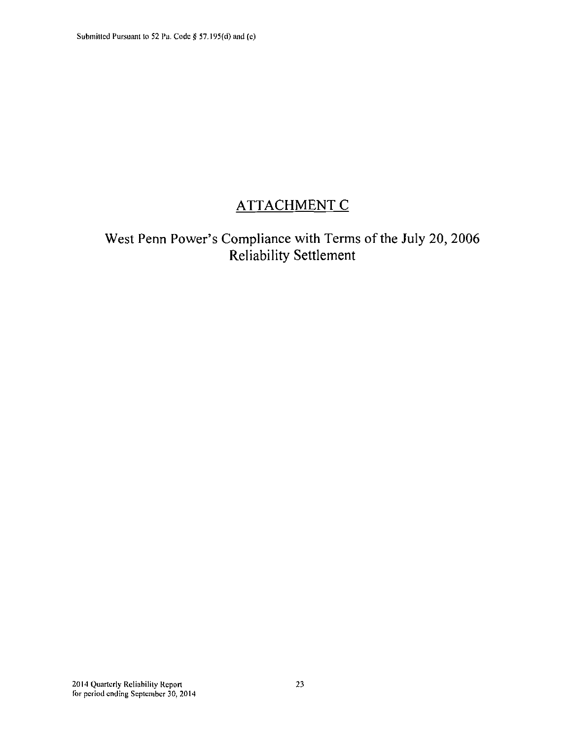## **ATTACHMENT C**

**West Penn Power's Compliance with Terms of the July 20, 2006 Reliability Settlement**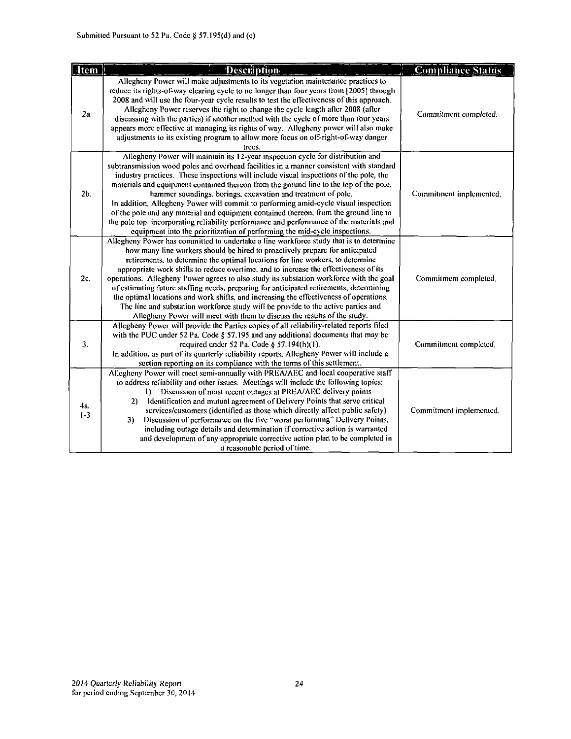| Item           | <b>Description</b>                                                                                                                                                                                                                                                                                                                                                                                                                                                                                                                                                                                                                                                                                                                                                                                | <b>Compliance Status</b> |
|----------------|---------------------------------------------------------------------------------------------------------------------------------------------------------------------------------------------------------------------------------------------------------------------------------------------------------------------------------------------------------------------------------------------------------------------------------------------------------------------------------------------------------------------------------------------------------------------------------------------------------------------------------------------------------------------------------------------------------------------------------------------------------------------------------------------------|--------------------------|
| 2a.            | Allegheny Power will make adjustments to its vegetation maintenance practices to<br>reduce its rights-of-way clearing cycle to no longer than four years from [2005] through<br>2008 and will use the four-year cycle results to test the effectiveness of this approach.<br>Allegheny Power reserves the right to change the cycle length after 2008 (after<br>discussing with the parties) if another method with the cycle of more than four years<br>appears more effective at managing its rights of way. Allegheny power will also make<br>adjustments to its existing program to allow more focus on off-right-of-way danger<br>trees.                                                                                                                                                     | Commitment completed.    |
| 2 <sub>b</sub> | Allegheny Power will maintain its 12-year inspection cycle for distribution and<br>subtransmission wood poles and overhead facilities in a manner consistent with standard<br>industry practices. These inspections will include visual inspections of the pole, the<br>materials and equipment contained thereon from the ground line to the top of the pole,<br>hammer soundings, borings, excavation and treatment of pole.<br>In addition, Allegheny Power will commit to performing amid-cycle visual inspection<br>of the pole and any material and equipment contained thereon, from the ground line to<br>the pole top, incorporating reliability performance and performance of the materials and<br>equipment into the prioritization of performing the mid-cycle inspections.          | Commitment implemented.  |
| 2c.            | Allegheny Power has committed to undertake a line workforce study that is to determine<br>how many line workers should be hired to proactively prepare for anticipated<br>retirements, to determine the optimal locations for line workers, to determine<br>appropriate work shifts to reduce overtime, and to increase the effectiveness of its<br>operations. Allegheny Power agrees to also study its substation workforce with the goal<br>of estimating future staffing needs, preparing for anticipated retirements, determining<br>the optimal locations and work shifts, and increasing the effectiveness of operations.<br>The fine and substation workforce study will be provide to the active parties and<br>Allegheny Power will meet with them to discuss the results of the study. | Commitment completed.    |
| 3.             | Allegheny Power will provide the Parties copies of all reliability-related reports filed<br>with the PUC under 52 Pa. Code § 57.195 and any additional documents that may be<br>required under 52 Pa. Code § 57.194(h)(1).<br>In addition, as part of its quarterly reliability reports. Allegheny Power will include a<br>section reporting on its compliance with the terms of this settlement.                                                                                                                                                                                                                                                                                                                                                                                                 | Commitment completed.    |
| 42.<br>$1 - 3$ | Allegheny Power will meet semi-annually with PREA/AEC and local cooperative staff<br>to address reliability and other issues. Meetings will include the following topics:<br>Discussion of most recent outages at PREA/AEC delivery points<br>Identification and mutual agreement of Delivery Points that serve critical<br>2)<br>services/customers (identified as those which directly affect public safety)<br>Discussion of performance on the five "worst performing" Delivery Points,<br>3)<br>including outage details and determination if corrective action is warranted<br>and development of any appropriate corrective action plan to be completed in<br>a reasonable period of time.                                                                                                 | Commitment implemented.  |